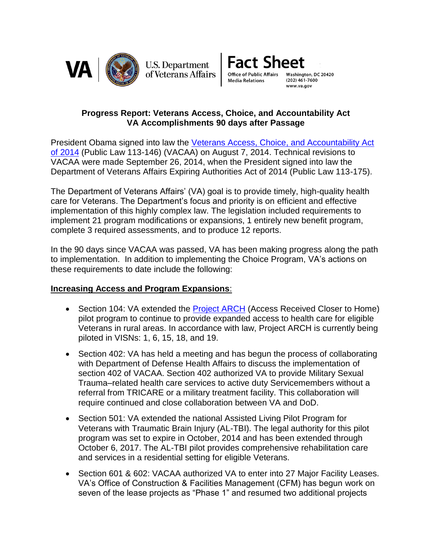

**U.S. Department** of Veterans Affairs



## **Progress Report: Veterans Access, Choice, and Accountability Act VA Accomplishments 90 days after Passage**

President Obama signed into law the [Veterans Access, Choice,](http://www.va.gov/opa/choiceact/) and Accountability Act [of 2014](http://www.va.gov/opa/choiceact/) (Public Law 113-146) (VACAA) on August 7, 2014. Technical revisions to VACAA were made September 26, 2014, when the President signed into law the Department of Veterans Affairs Expiring Authorities Act of 2014 (Public Law 113-175).

The Department of Veterans Affairs' (VA) goal is to provide timely, high-quality health care for Veterans. The Department's focus and priority is on efficient and effective implementation of this highly complex law. The legislation included requirements to implement 21 program modifications or expansions, 1 entirely new benefit program, complete 3 required assessments, and to produce 12 reports.

In the 90 days since VACAA was passed, VA has been making progress along the path to implementation. In addition to implementing the Choice Program, VA's actions on these requirements to date include the following:

## **Increasing Access and Program Expansions**:

- Section 104: VA extended the [Project ARCH](http://www.va.gov/health/arch/) (Access Received Closer to Home) pilot program to continue to provide expanded access to health care for eligible Veterans in rural areas. In accordance with law, Project ARCH is currently being piloted in VISNs: 1, 6, 15, 18, and 19.
- Section 402: VA has held a meeting and has begun the process of collaborating with Department of Defense Health Affairs to discuss the implementation of section 402 of VACAA. Section 402 authorized VA to provide Military Sexual Trauma–related health care services to active duty Servicemembers without a referral from TRICARE or a military treatment facility. This collaboration will require continued and close collaboration between VA and DoD.
- Section 501: VA extended the national Assisted Living Pilot Program for Veterans with Traumatic Brain Injury (AL-TBI). The legal authority for this pilot program was set to expire in October, 2014 and has been extended through October 6, 2017. The AL-TBI pilot provides comprehensive rehabilitation care and services in a residential setting for eligible Veterans.
- Section 601 & 602: VACAA authorized VA to enter into 27 Major Facility Leases. VA's Office of Construction & Facilities Management (CFM) has begun work on seven of the lease projects as "Phase 1" and resumed two additional projects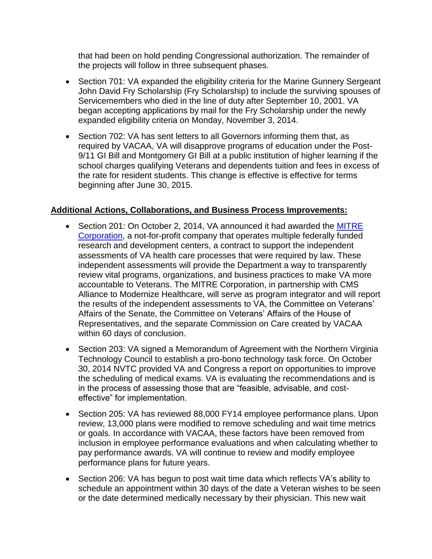that had been on hold pending Congressional authorization. The remainder of the projects will follow in three subsequent phases.

- Section 701: VA expanded the eligibility criteria for the Marine Gunnery Sergeant John David Fry Scholarship (Fry Scholarship) to include the surviving spouses of Servicemembers who died in the line of duty after September 10, 2001. VA began accepting applications by mail for the Fry Scholarship under the newly expanded eligibility criteria on Monday, November 3, 2014.
- Section 702: VA has sent letters to all Governors informing them that, as required by VACAA, VA will disapprove programs of education under the Post-9/11 GI Bill and Montgomery GI Bill at a public institution of higher learning if the school charges qualifying Veterans and dependents tuition and fees in excess of the rate for resident students. This change is effective is effective for terms beginning after June 30, 2015.

## **Additional Actions, Collaborations, and Business Process Improvements:**

- Section 201: On October 2, 2014, VA announced it had awarded the MITRE [Corporation,](http://www.va.gov/opa/pressrel/pressrelease.cfm?id=2638) a not-for-profit company that operates multiple federally funded research and development centers, a contract to support the independent assessments of VA health care processes that were required by law. These independent assessments will provide the Department a way to transparently review vital programs, organizations, and business practices to make VA more accountable to Veterans. The MITRE Corporation, in partnership with CMS Alliance to Modernize Healthcare, will serve as program integrator and will report the results of the independent assessments to VA, the Committee on Veterans' Affairs of the Senate, the Committee on Veterans' Affairs of the House of Representatives, and the separate Commission on Care created by VACAA within 60 days of conclusion.
- Section 203: VA signed a Memorandum of Agreement with the Northern Virginia Technology Council to establish a pro-bono technology task force. On October 30, 2014 NVTC provided VA and Congress a report on opportunities to improve the scheduling of medical exams. VA is evaluating the recommendations and is in the process of assessing those that are "feasible, advisable, and costeffective" for implementation.
- Section 205: VA has reviewed 88,000 FY14 employee performance plans. Upon review, 13,000 plans were modified to remove scheduling and wait time metrics or goals. In accordance with VACAA, these factors have been removed from inclusion in employee performance evaluations and when calculating whether to pay performance awards. VA will continue to review and modify employee performance plans for future years.
- Section 206: VA has begun to post wait time data which reflects VA's ability to schedule an appointment within 30 days of the date a Veteran wishes to be seen or the date determined medically necessary by their physician. This new wait